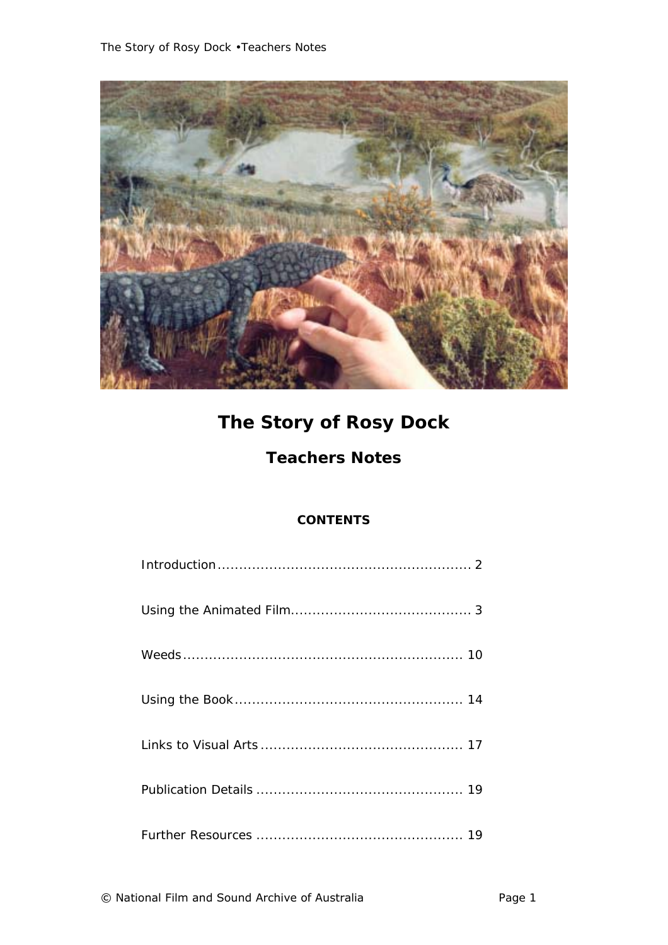

# *The Story of Rosy Dock*

# **Teachers Notes**

# **CONTENTS**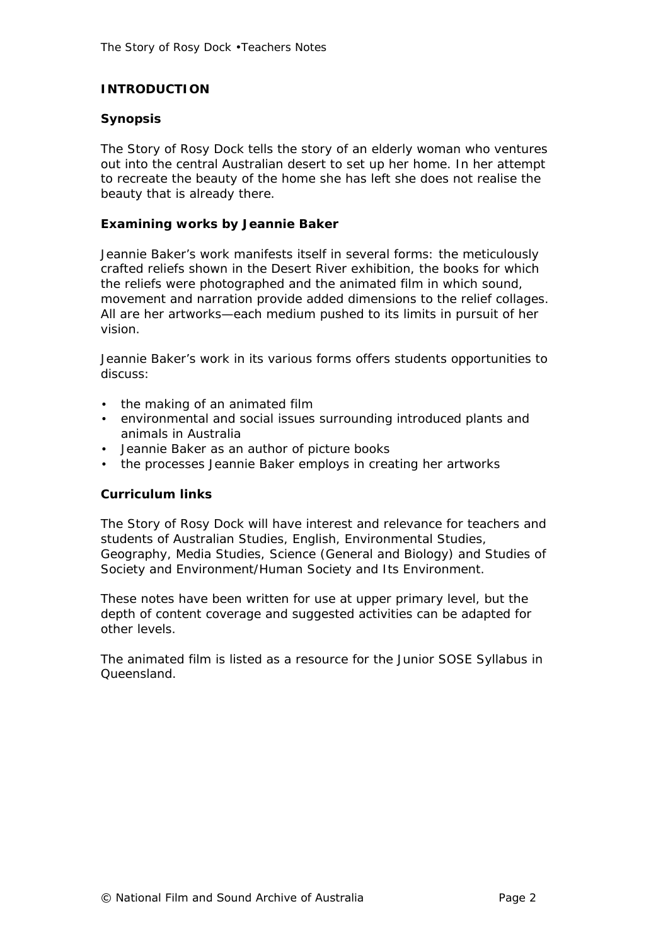# **INTRODUCTION**

#### **Synopsis**

*The Story of Rosy Dock* tells the story of an elderly woman who ventures out into the central Australian desert to set up her home. In her attempt to recreate the beauty of the home she has left she does not realise the beauty that is already there.

#### **Examining works by Jeannie Baker**

Jeannie Baker's work manifests itself in several forms: the meticulously crafted reliefs shown in the Desert River exhibition, the books for which the reliefs were photographed and the animated film in which sound, movement and narration provide added dimensions to the relief collages. All are her artworks—each medium pushed to its limits in pursuit of her vision.

Jeannie Baker's work in its various forms offers students opportunities to discuss:

- the making of an animated film
- environmental and social issues surrounding introduced plants and animals in Australia
- Jeannie Baker as an author of picture books
- the processes Jeannie Baker employs in creating her artworks

#### **Curriculum links**

*The Story of Rosy Dock* will have interest and relevance for teachers and students of Australian Studies, English, Environmental Studies, Geography, Media Studies, Science (General and Biology) and Studies of Society and Environment/Human Society and Its Environment.

These notes have been written for use at upper primary level, but the depth of content coverage and suggested activities can be adapted for other levels.

The animated film is listed as a resource for the Junior SOSE Syllabus in Queensland.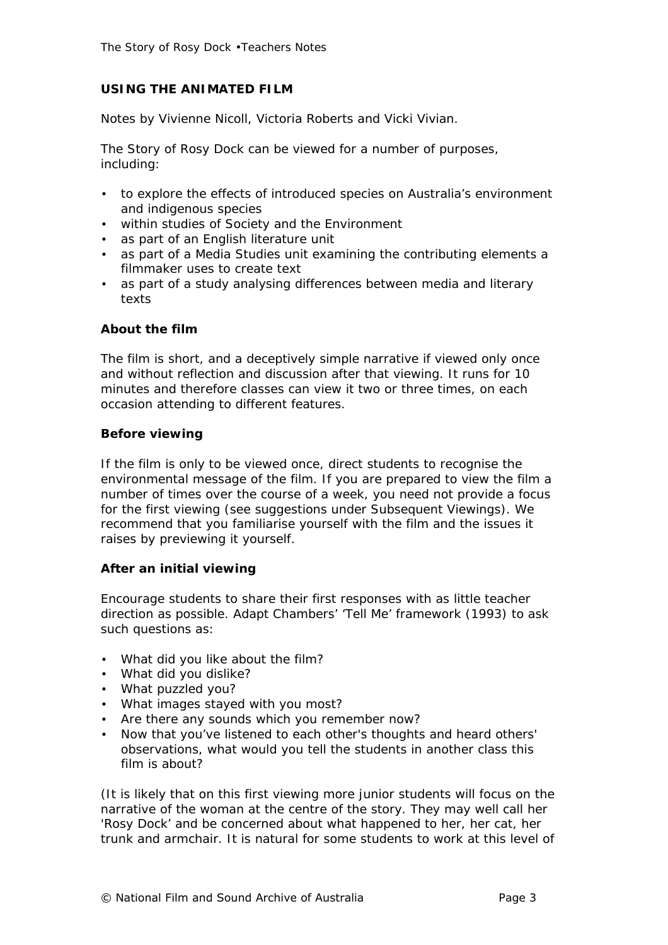# **USING THE ANIMATED FILM**

Notes by Vivienne Nicoll, Victoria Roberts and Vicki Vivian.

*The Story of Rosy Dock* can be viewed for a number of purposes, including:

- to explore the effects of introduced species on Australia's environment and indigenous species
- within studies of Society and the Environment
- as part of an English literature unit
- as part of a Media Studies unit examining the contributing elements a filmmaker uses to create text
- as part of a study analysing differences between media and literary texts

#### **About the film**

The film is short, and a deceptively simple narrative if viewed only once and without reflection and discussion after that viewing. It runs for 10 minutes and therefore classes can view it two or three times, on each occasion attending to different features.

#### **Before viewing**

If the film is only to be viewed once, direct students to recognise the environmental message of the film. If you are prepared to view the film a number of times over the course of a week, you need not provide a focus for the first viewing (see suggestions under Subsequent Viewings). We recommend that you familiarise yourself with the film and the issues it raises by previewing it yourself.

#### **After an initial viewing**

Encourage students to share their first responses with as little teacher direction as possible. Adapt Chambers' 'Tell Me' framework (1993) to ask such questions as:

- What did you like about the film?
- What did you dislike?
- What puzzled you?
- What images stayed with you most?
- Are there any sounds which you remember now?
- Now that you've listened to each other's thoughts and heard others' observations, what would you tell the students in another class this film is about?

(It is likely that on this first viewing more junior students will focus on the narrative of the woman at the centre of the story. They may well call her 'Rosy Dock' and be concerned about what happened to her, her cat, her trunk and armchair. It is natural for some students to work at this level of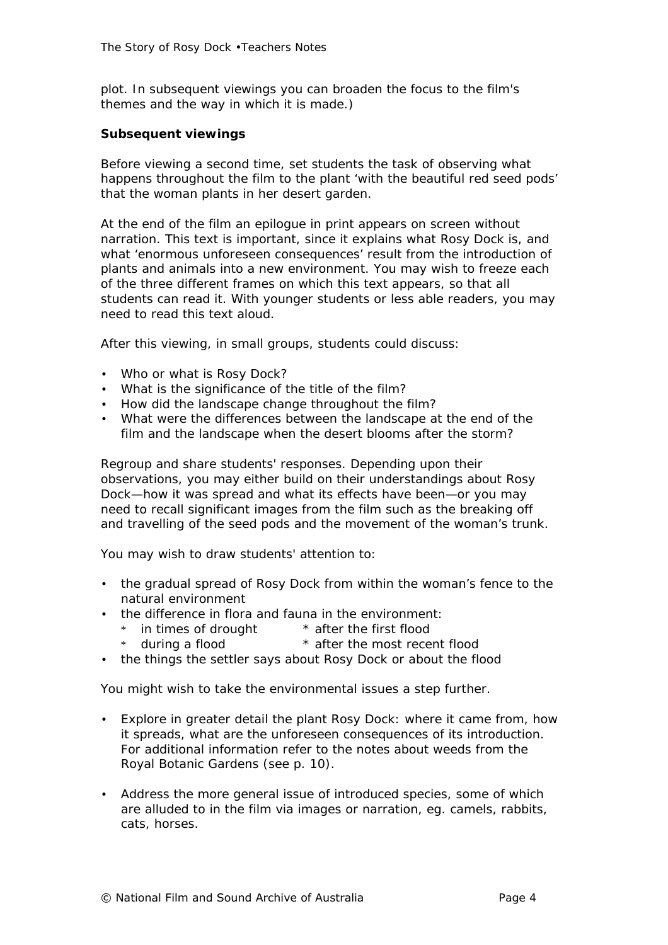plot. In subsequent viewings you can broaden the focus to the film's themes and the way in which it is made.)

#### **Subsequent viewings**

Before viewing a second time, set students the task of observing what happens throughout the film to the plant 'with the beautiful red seed pods' that the woman plants in her desert garden.

At the end of the film an epilogue in print appears on screen without narration. This text is important, since it explains what Rosy Dock is, and what 'enormous unforeseen consequences' result from the introduction of plants and animals into a new environment. You may wish to freeze each of the three different frames on which this text appears, so that all students can read it. With younger students or less able readers, you may need to read this text aloud.

After this viewing, in small groups, students could discuss:

- Who or what is Rosy Dock?
- What is the significance of the title of the film?
- How did the landscape change throughout the film?
- What were the differences between the landscape at the end of the film and the landscape when the desert blooms after the storm?

Regroup and share students' responses. Depending upon their observations, you may either build on their understandings about Rosy Dock—how it was spread and what its effects have been—or you may need to recall significant images from the film such as the breaking off and travelling of the seed pods and the movement of the woman's trunk.

You may wish to draw students' attention to:

- the gradual spread of Rosy Dock from within the woman's fence to the natural environment
- the difference in flora and fauna in the environment:
	- \* in times of drought \* after the first flood
	- \* during a flood \* after the most recent flood
- the things the settler says about Rosy Dock or about the flood

You might wish to take the environmental issues a step further.

- Explore in greater detail the plant Rosy Dock: where it came from, how it spreads, what are the unforeseen consequences of its introduction. For additional information refer to the notes about weeds from the Royal Botanic Gardens (see p. 10).
- Address the more general issue of introduced species, some of which are alluded to in the film via images or narration, eg. camels, rabbits, cats, horses.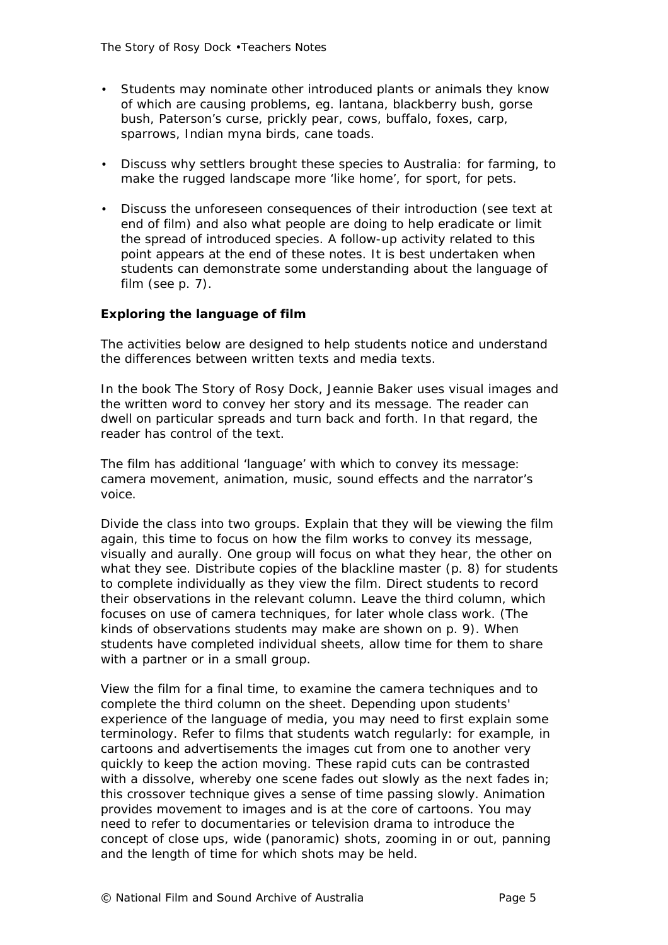- Students may nominate other introduced plants or animals they know of which are causing problems, eg. lantana, blackberry bush, gorse bush, Paterson's curse, prickly pear, cows, buffalo, foxes, carp, sparrows, Indian myna birds, cane toads.
- Discuss why settlers brought these species to Australia: for farming, to make the rugged landscape more 'like home', for sport, for pets.
- Discuss the unforeseen consequences of their introduction (see text at end of film) and also what people are doing to help eradicate or limit the spread of introduced species. A follow-up activity related to this point appears at the end of these notes. It is best undertaken when students can demonstrate some understanding about the language of film (see p. 7).

#### **Exploring the language of film**

The activities below are designed to help students notice and understand the differences between written texts and media texts.

In the book *The Story of Rosy Dock*, Jeannie Baker uses visual images and the written word to convey her story and its message. The reader can dwell on particular spreads and turn back and forth. In that regard, the reader has control of the text.

The film has additional 'language' with which to convey its message: camera movement, animation, music, sound effects and the narrator's voice.

Divide the class into two groups. Explain that they will be viewing the film again, this time to focus on how the film works to convey its message, visually and aurally. One group will focus on what they hear, the other on what they see. Distribute copies of the blackline master (p. 8) for students to complete individually as they view the film. Direct students to record their observations in the relevant column. Leave the third column, which focuses on use of camera techniques, for later whole class work. (The kinds of observations students may make are shown on p. 9). When students have completed individual sheets, allow time for them to share with a partner or in a small group.

View the film for a final time, to examine the camera techniques and to complete the third column on the sheet. Depending upon students' experience of the language of media, you may need to first explain some terminology. Refer to films that students watch regularly: for example, in cartoons and advertisements the images cut from one to another very quickly to keep the action moving. These rapid cuts can be contrasted with a dissolve, whereby one scene fades out slowly as the next fades in; this crossover technique gives a sense of time passing slowly. Animation provides movement to images and is at the core of cartoons. You may need to refer to documentaries or television drama to introduce the concept of close ups, wide (panoramic) shots, zooming in or out, panning and the length of time for which shots may be held.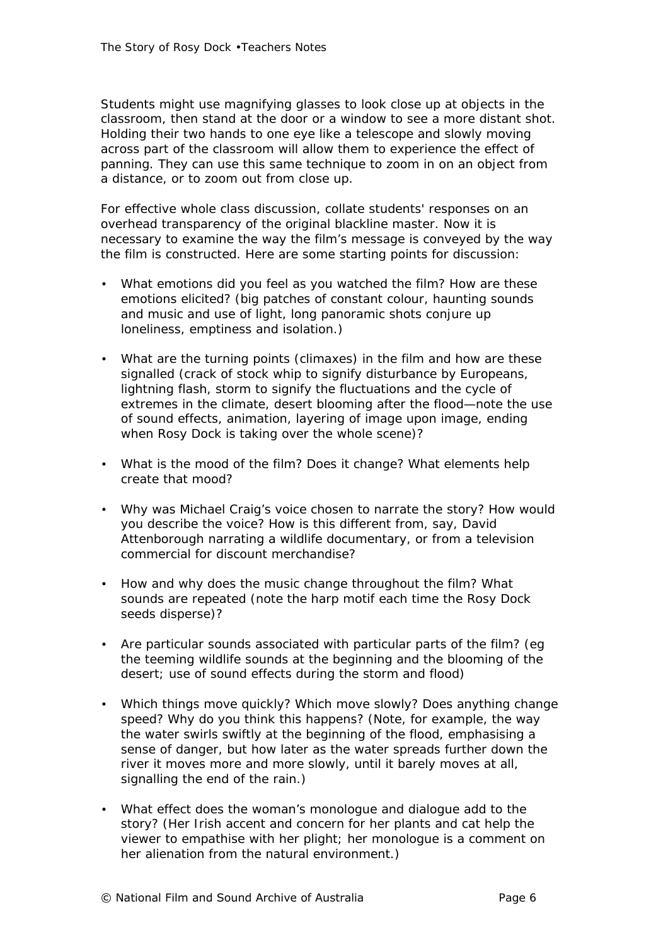Students might use magnifying glasses to look close up at objects in the classroom, then stand at the door or a window to see a more distant shot. Holding their two hands to one eye like a telescope and slowly moving across part of the classroom will allow them to experience the effect of panning. They can use this same technique to zoom in on an object from a distance, or to zoom out from close up.

For effective whole class discussion, collate students' responses on an overhead transparency of the original blackline master. Now it is necessary to examine the way the film's message is conveyed by the way the film is constructed. Here are some starting points for discussion:

- What emotions did you feel as you watched the film? How are these emotions elicited? (big patches of constant colour, haunting sounds and music and use of light, long panoramic shots conjure up loneliness, emptiness and isolation.)
- What are the turning points (climaxes) in the film and how are these signalled (crack of stock whip to signify disturbance by Europeans, lightning flash, storm to signify the fluctuations and the cycle of extremes in the climate, desert blooming after the flood—note the use of sound effects, animation, layering of image upon image, ending when Rosy Dock is taking over the whole scene)?
- What is the mood of the film? Does it change? What elements help create that mood?
- Why was Michael Craig's voice chosen to narrate the story? How would you describe the voice? How is this different from, say, David Attenborough narrating a wildlife documentary, or from a television commercial for discount merchandise?
- How and why does the music change throughout the film? What sounds are repeated (note the harp motif each time the Rosy Dock seeds disperse)?
- Are particular sounds associated with particular parts of the film? (eg the teeming wildlife sounds at the beginning and the blooming of the desert; use of sound effects during the storm and flood)
- Which things move quickly? Which move slowly? Does anything change speed? Why do you think this happens? (Note, for example, the way the water swirls swiftly at the beginning of the flood, emphasising a sense of danger, but how later as the water spreads further down the river it moves more and more slowly, until it barely moves at all, signalling the end of the rain.)
- What effect does the woman's monologue and dialogue add to the story? (Her Irish accent and concern for her plants and cat help the viewer to empathise with her plight; her monologue is a comment on her alienation from the natural environment.)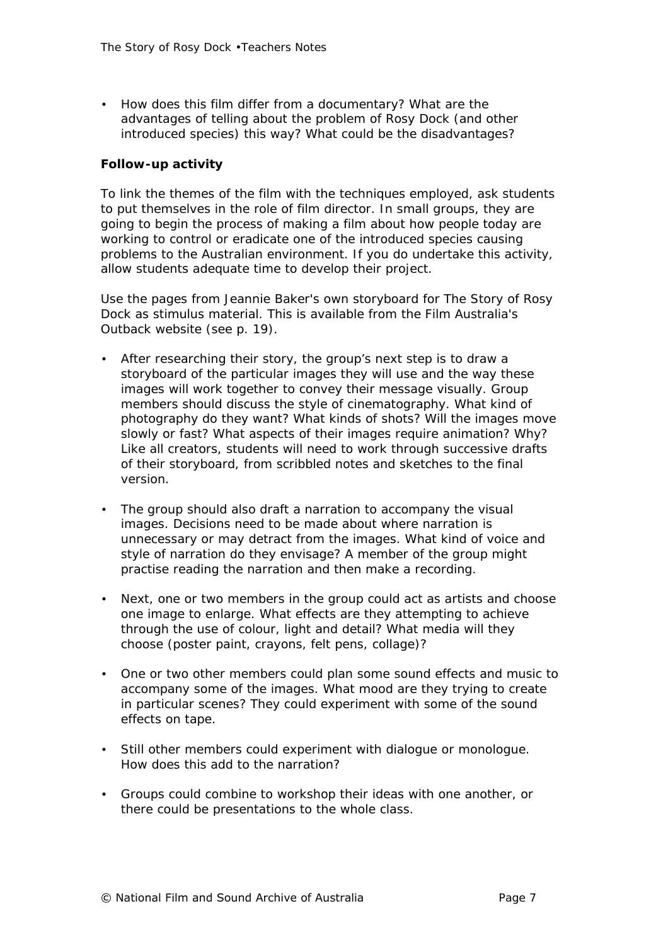• How does this film differ from a documentary? What are the advantages of telling about the problem of Rosy Dock (and other introduced species) this way? What could be the disadvantages?

#### **Follow-up activity**

To link the themes of the film with the techniques employed, ask students to put themselves in the role of film director. In small groups, they are going to begin the process of making a film about how people today are working to control or eradicate one of the introduced species causing problems to the Australian environment. If you do undertake this activity, allow students adequate time to develop their project.

Use the pages from Jeannie Baker's own storyboard for *The Story of Rosy Dock* as stimulus material. This is available from the *Film Australia's Outback* website (see p. 19).

- After researching their story, the group's next step is to draw a storyboard of the particular images they will use and the way these images will work together to convey their message visually. Group members should discuss the style of cinematography. What kind of photography do they want? What kinds of shots? Will the images move slowly or fast? What aspects of their images require animation? Why? Like all creators, students will need to work through successive drafts of their storyboard, from scribbled notes and sketches to the final version.
- The group should also draft a narration to accompany the visual images. Decisions need to be made about where narration is unnecessary or may detract from the images. What kind of voice and style of narration do they envisage? A member of the group might practise reading the narration and then make a recording.
- Next, one or two members in the group could act as artists and choose one image to enlarge. What effects are they attempting to achieve through the use of colour, light and detail? What media will they choose (poster paint, crayons, felt pens, collage)?
- One or two other members could plan some sound effects and music to accompany some of the images. What mood are they trying to create in particular scenes? They could experiment with some of the sound effects on tape.
- Still other members could experiment with dialogue or monologue. How does this add to the narration?
- Groups could combine to workshop their ideas with one another, or there could be presentations to the whole class.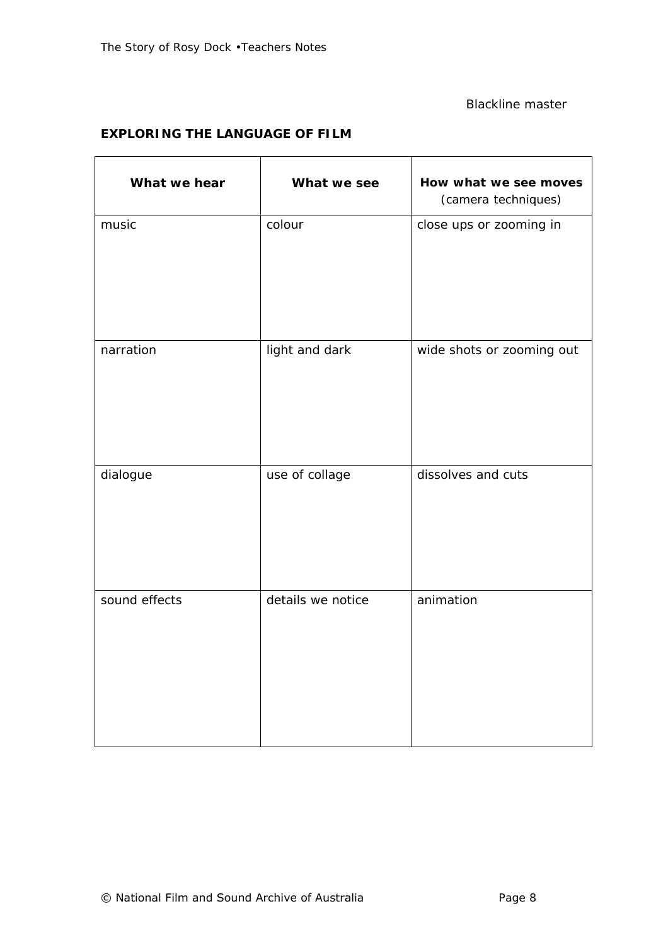#### Blackline master

 $\overline{\phantom{a}}$ 

# **EXPLORING THE LANGUAGE OF FILM**

| What we hear  | What we see       | How what we see moves<br>(camera techniques) |
|---------------|-------------------|----------------------------------------------|
| music         | colour            | close ups or zooming in                      |
| narration     | light and dark    | wide shots or zooming out                    |
| dialogue      | use of collage    | dissolves and cuts                           |
| sound effects | details we notice | animation                                    |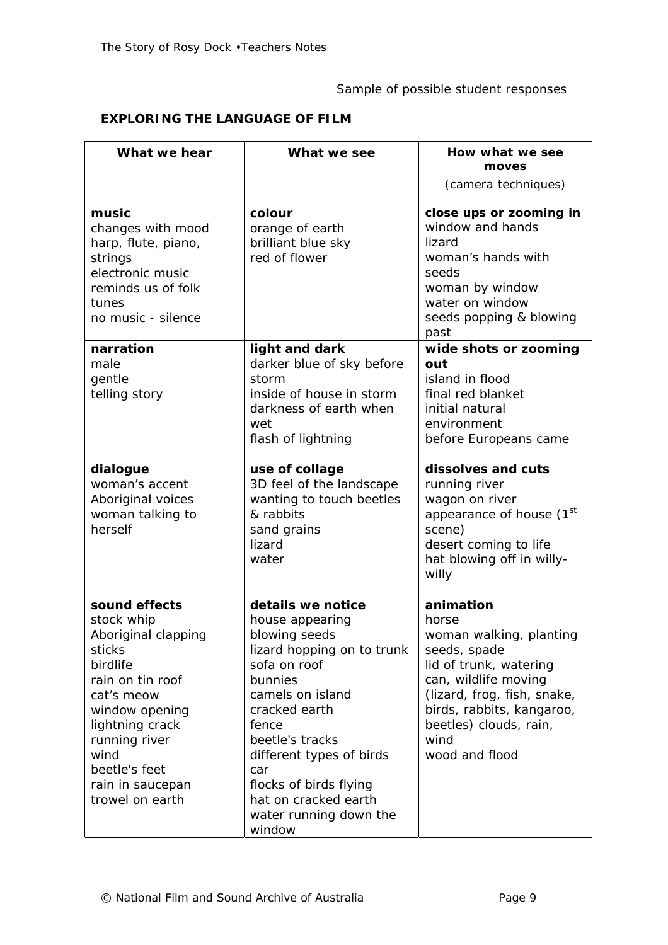# Sample of possible student responses

# **EXPLORING THE LANGUAGE OF FILM**

| What we hear                                                                                                                                                                                                                     | What we see                                                                                                                                                                                                                                                                                              | How what we see<br>moves                                                                                                                                                                                                        |
|----------------------------------------------------------------------------------------------------------------------------------------------------------------------------------------------------------------------------------|----------------------------------------------------------------------------------------------------------------------------------------------------------------------------------------------------------------------------------------------------------------------------------------------------------|---------------------------------------------------------------------------------------------------------------------------------------------------------------------------------------------------------------------------------|
|                                                                                                                                                                                                                                  |                                                                                                                                                                                                                                                                                                          | (camera techniques)                                                                                                                                                                                                             |
| music<br>changes with mood<br>harp, flute, piano,<br>strings<br>electronic music<br>reminds us of folk<br>tunes<br>no music - silence                                                                                            | colour<br>orange of earth<br>brilliant blue sky<br>red of flower                                                                                                                                                                                                                                         | close ups or zooming in<br>window and hands<br>lizard<br>woman's hands with<br>seeds<br>woman by window<br>water on window<br>seeds popping & blowing<br>past                                                                   |
| narration<br>male<br>gentle<br>telling story                                                                                                                                                                                     | light and dark<br>darker blue of sky before<br>storm<br>inside of house in storm<br>darkness of earth when<br>wet<br>flash of lightning                                                                                                                                                                  | wide shots or zooming<br>out<br>island in flood<br>final red blanket<br>initial natural<br>environment<br>before Europeans came                                                                                                 |
| dialogue<br>woman's accent<br>Aboriginal voices<br>woman talking to<br>herself                                                                                                                                                   | use of collage<br>3D feel of the landscape<br>wanting to touch beetles<br>& rabbits<br>sand grains<br>lizard<br>water                                                                                                                                                                                    | dissolves and cuts<br>running river<br>wagon on river<br>appearance of house (1st<br>scene)<br>desert coming to life<br>hat blowing off in willy-<br>willy                                                                      |
| sound effects<br>stock whip<br>Aboriginal clapping<br>sticks<br>birdlife<br>rain on tin roof<br>cat's meow<br>window opening<br>lightning crack<br>running river<br>wind<br>beetle's feet<br>rain in saucepan<br>trowel on earth | details we notice<br>house appearing<br>blowing seeds<br>lizard hopping on to trunk<br>sofa on roof<br>bunnies<br>camels on island<br>cracked earth<br>fence<br>beetle's tracks<br>different types of birds<br>car<br>flocks of birds flying<br>hat on cracked earth<br>water running down the<br>window | animation<br>horse<br>woman walking, planting<br>seeds, spade<br>lid of trunk, watering<br>can, wildlife moving<br>(lizard, frog, fish, snake,<br>birds, rabbits, kangaroo,<br>beetles) clouds, rain,<br>wind<br>wood and flood |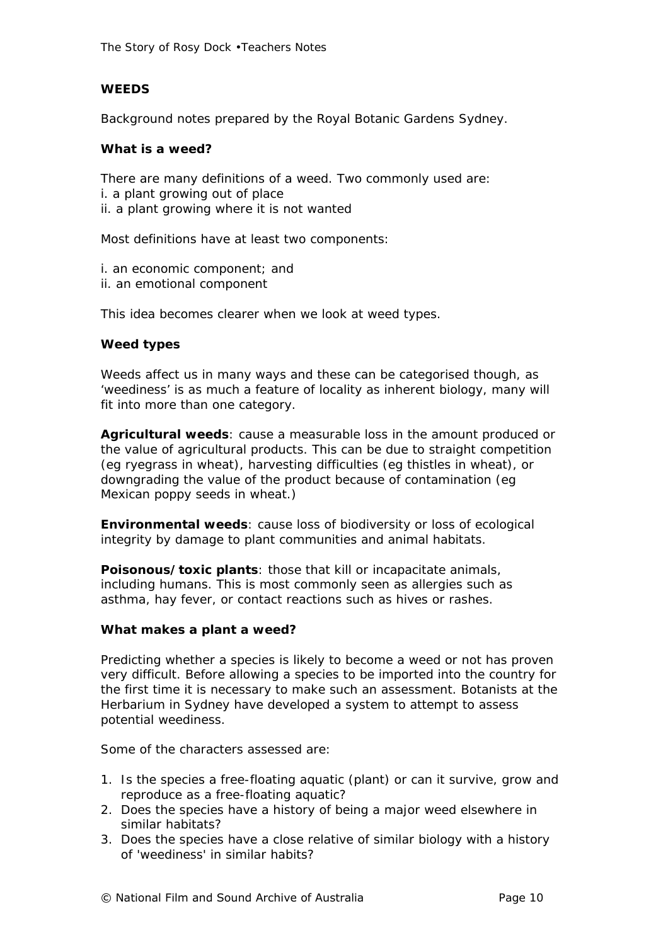The Story of Rosy Dock •Teachers Notes

#### **WEEDS**

Background notes prepared by the Royal Botanic Gardens Sydney.

#### **What is a weed?**

There are many definitions of a weed. Two commonly used are: i. a plant growing out of place ii. a plant growing where it is not wanted

Most definitions have at least two components:

i. an economic component; and

ii. an emotional component

This idea becomes clearer when we look at weed types.

#### **Weed types**

Weeds affect us in many ways and these can be categorised though, as 'weediness' is as much a feature of locality as inherent biology, many will fit into more than one category.

**Agricultural weeds**: cause a measurable loss in the amount produced or the value of agricultural products. This can be due to straight competition (eg ryegrass in wheat), harvesting difficulties (eg thistles in wheat), or downgrading the value of the product because of contamination (eg Mexican poppy seeds in wheat.)

**Environmental weeds**: cause loss of biodiversity or loss of ecological integrity by damage to plant communities and animal habitats.

**Poisonous/toxic plants**: those that kill or incapacitate animals, including humans. This is most commonly seen as allergies such as asthma, hay fever, or contact reactions such as hives or rashes.

#### **What makes a plant a weed?**

Predicting whether a species is likely to become a weed or not has proven very difficult. Before allowing a species to be imported into the country for the first time it is necessary to make such an assessment. Botanists at the Herbarium in Sydney have developed a system to attempt to assess potential weediness.

Some of the characters assessed are:

- 1. Is the species a free-floating aquatic (plant) or can it survive, grow and reproduce as a free-floating aquatic?
- 2. Does the species have a history of being a major weed elsewhere in similar habitats?
- 3. Does the species have a close relative of similar biology with a history of 'weediness' in similar habits?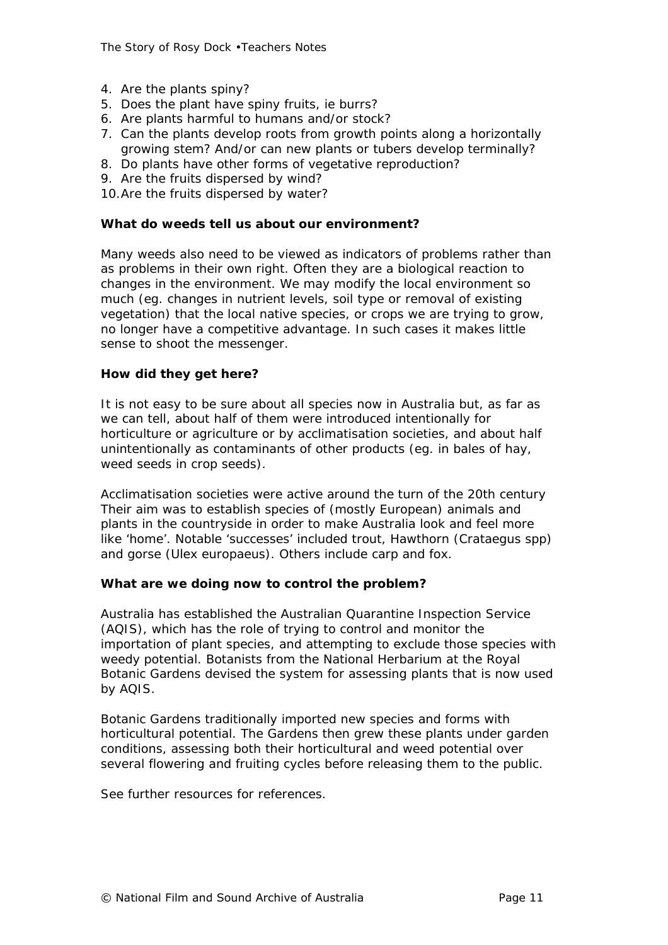The Story of Rosy Dock •Teachers Notes

- 4. Are the plants spiny?
- 5. Does the plant have spiny fruits, ie burrs?
- 6. Are plants harmful to humans and/or stock?
- 7. Can the plants develop roots from growth points along a horizontally growing stem? And/or can new plants or tubers develop terminally?
- 8. Do plants have other forms of vegetative reproduction?
- 9. Are the fruits dispersed by wind?
- 10.Are the fruits dispersed by water?

#### **What do weeds tell us about our environment?**

Many weeds also need to be viewed as indicators of problems rather than as problems in their own right. Often they are a biological reaction to changes in the environment. We may modify the local environment so much (eg. changes in nutrient levels, soil type or removal of existing vegetation) that the local native species, or crops we are trying to grow, no longer have a competitive advantage. In such cases it makes little sense to shoot the messenger.

# **How did they get here?**

It is not easy to be sure about all species now in Australia but, as far as we can tell, about half of them were introduced intentionally for horticulture or agriculture or by acclimatisation societies, and about half unintentionally as contaminants of other products (eg. in bales of hay, weed seeds in crop seeds).

Acclimatisation societies were active around the turn of the 20th century Their aim was to establish species of (mostly European) animals and plants in the countryside in order to make Australia look and feel more like 'home'. Notable 'successes' included trout, Hawthorn (*Crataegus spp*) and gorse (*Ulex europaeus*). Others include carp and fox.

#### **What are we doing now to control the problem?**

Australia has established the Australian Quarantine Inspection Service (AQIS), which has the role of trying to control and monitor the importation of plant species, and attempting to exclude those species with weedy potential. Botanists from the National Herbarium at the Royal Botanic Gardens devised the system for assessing plants that is now used by AQIS.

Botanic Gardens traditionally imported new species and forms with horticultural potential. The Gardens then grew these plants under garden conditions, assessing both their horticultural and weed potential over several flowering and fruiting cycles before releasing them to the public.

See further resources for references.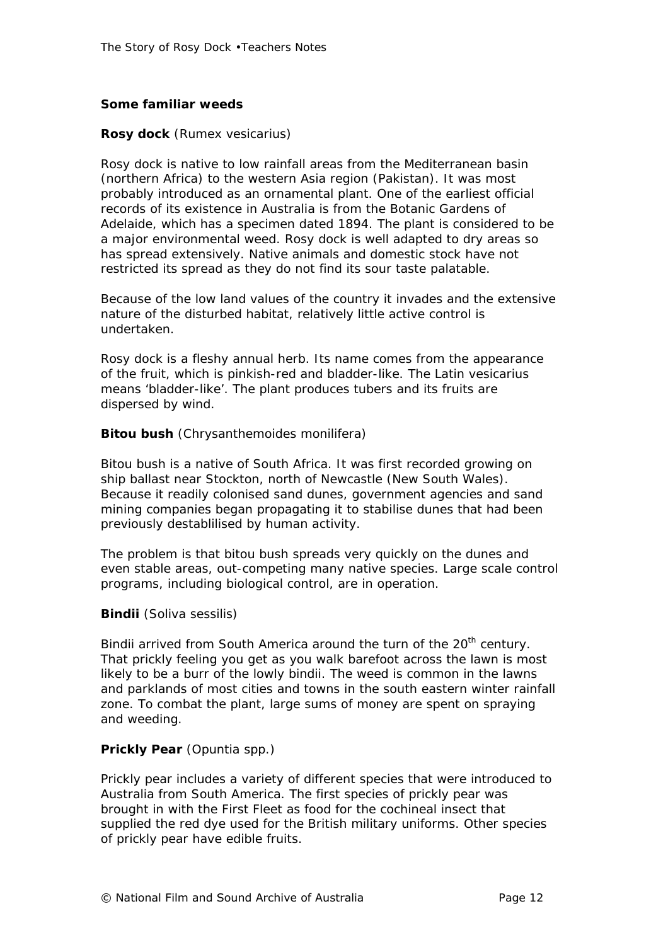#### **Some familiar weeds**

#### **Rosy dock** (*Rumex vesicarius*)

Rosy dock is native to low rainfall areas from the Mediterranean basin (northern Africa) to the western Asia region (Pakistan). It was most probably introduced as an ornamental plant. One of the earliest official records of its existence in Australia is from the Botanic Gardens of Adelaide, which has a specimen dated 1894. The plant is considered to be a major environmental weed. Rosy dock is well adapted to dry areas so has spread extensively. Native animals and domestic stock have not restricted its spread as they do not find its sour taste palatable.

Because of the low land values of the country it invades and the extensive nature of the disturbed habitat, relatively little active control is undertaken.

Rosy dock is a fleshy annual herb. Its name comes from the appearance of the fruit, which is pinkish-red and bladder-like. The Latin *vesicarius* means 'bladder-like'. The plant produces tubers and its fruits are dispersed by wind.

#### **Bitou bush** (*Chrysanthemoides monilifera*)

Bitou bush is a native of South Africa. It was first recorded growing on ship ballast near Stockton, north of Newcastle (New South Wales). Because it readily colonised sand dunes, government agencies and sand mining companies began propagating it to stabilise dunes that had been previously destablilised by human activity.

The problem is that bitou bush spreads very quickly on the dunes and even stable areas, out-competing many native species. Large scale control programs, including biological control, are in operation.

#### **Bindii** (*Soliva sessilis*)

Bindii arrived from South America around the turn of the 20<sup>th</sup> century. That prickly feeling you get as you walk barefoot across the lawn is most likely to be a burr of the lowly bindii. The weed is common in the lawns and parklands of most cities and towns in the south eastern winter rainfall zone. To combat the plant, large sums of money are spent on spraying and weeding.

#### **Prickly Pear** (*Opuntia spp.*)

Prickly pear includes a variety of different species that were introduced to Australia from South America. The first species of prickly pear was brought in with the First Fleet as food for the cochineal insect that supplied the red dye used for the British military uniforms. Other species of prickly pear have edible fruits.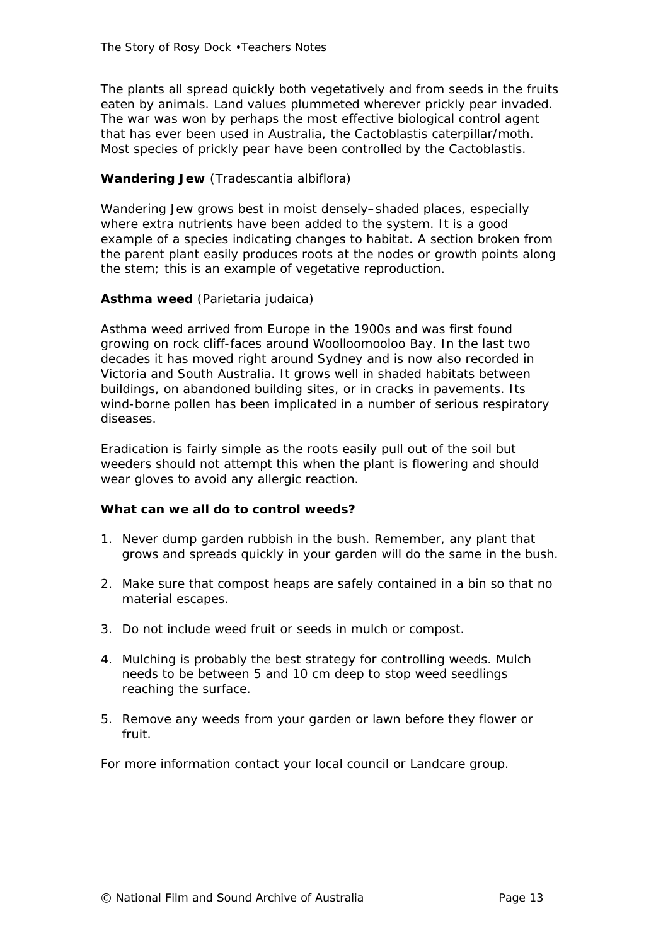The plants all spread quickly both vegetatively and from seeds in the fruits eaten by animals. Land values plummeted wherever prickly pear invaded. The war was won by perhaps the most effective biological control agent that has ever been used in Australia, the Cactoblastis caterpillar/moth. Most species of prickly pear have been controlled by the Cactoblastis.

# **Wandering Jew** (*Tradescantia albiflora*)

Wandering Jew grows best in moist densely–shaded places, especially where extra nutrients have been added to the system. It is a good example of a species indicating changes to habitat. A section broken from the parent plant easily produces roots at the nodes or growth points along the stem; this is an example of vegetative reproduction.

# **Asthma weed** (*Parietaria judaica*)

Asthma weed arrived from Europe in the 1900s and was first found growing on rock cliff-faces around Woolloomooloo Bay. In the last two decades it has moved right around Sydney and is now also recorded in Victoria and South Australia. It grows well in shaded habitats between buildings, on abandoned building sites, or in cracks in pavements. Its wind-borne pollen has been implicated in a number of serious respiratory diseases.

Eradication is fairly simple as the roots easily pull out of the soil but weeders should not attempt this when the plant is flowering and should wear gloves to avoid any allergic reaction.

#### **What can we all do to control weeds?**

- 1. Never dump garden rubbish in the bush. Remember, any plant that grows and spreads quickly in your garden will do the same in the bush.
- 2. Make sure that compost heaps are safely contained in a bin so that no material escapes.
- 3. Do not include weed fruit or seeds in mulch or compost.
- 4. Mulching is probably the best strategy for controlling weeds. Mulch needs to be between 5 and 10 cm deep to stop weed seedlings reaching the surface.
- 5. Remove any weeds from your garden or lawn before they flower or fruit.

For more information contact your local council or Landcare group.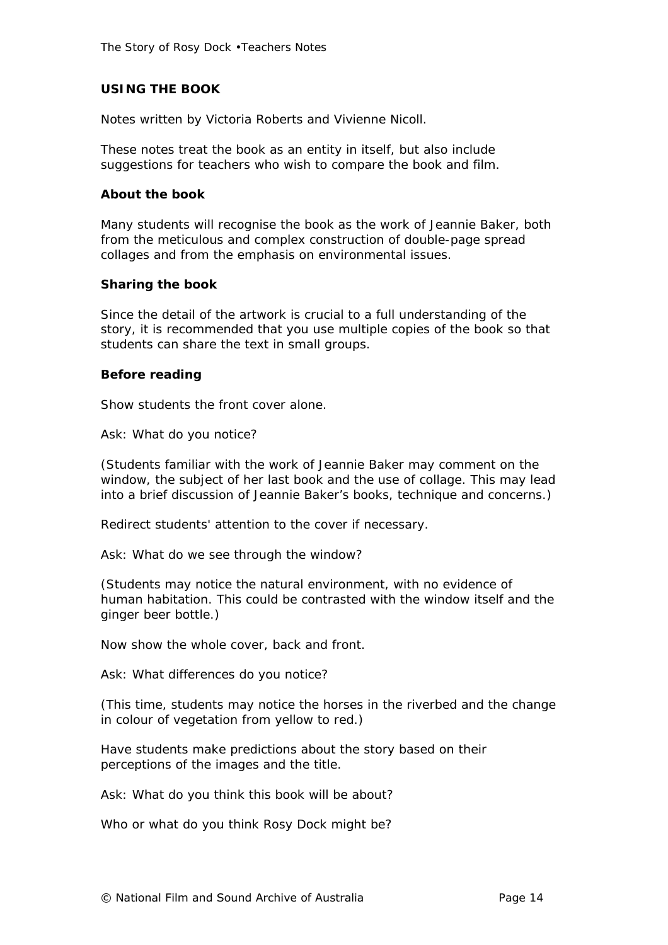#### **USING THE BOOK**

Notes written by Victoria Roberts and Vivienne Nicoll.

These notes treat the book as an entity in itself, but also include suggestions for teachers who wish to compare the book and film.

#### **About the book**

Many students will recognise the book as the work of Jeannie Baker, both from the meticulous and complex construction of double-page spread collages and from the emphasis on environmental issues.

#### **Sharing the book**

Since the detail of the artwork is crucial to a full understanding of the story, it is recommended that you use multiple copies of the book so that students can share the text in small groups.

#### **Before reading**

Show students the front cover alone.

Ask: *What do you notice?*

(Students familiar with the work of Jeannie Baker may comment on the window, the subject of her last book and the use of collage. This may lead into a brief discussion of Jeannie Baker's books, technique and concerns.)

Redirect students' attention to the cover if necessary.

Ask: *What do we see through the window?*

(Students may notice the natural environment, with no evidence of human habitation. This could be contrasted with the window itself and the ginger beer bottle.)

Now show the whole cover, back and front.

Ask: *What differences do you notice?*

(This time, students may notice the horses in the riverbed and the change in colour of vegetation from yellow to red.)

Have students make predictions about the story based on their perceptions of the images and the title.

Ask: *What do you think this book will be about?*

*Who or what do you think Rosy Dock might be?*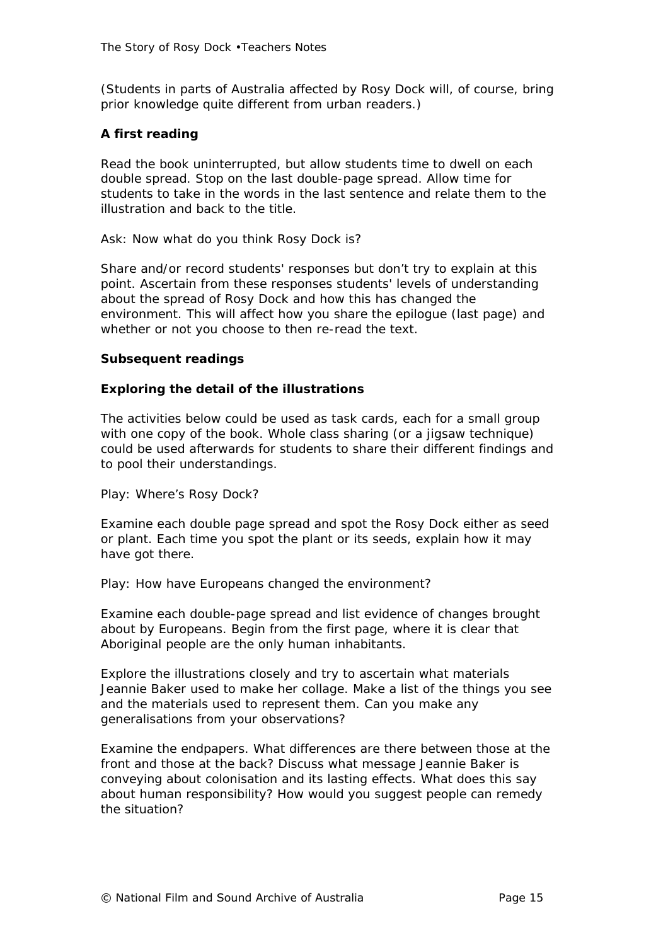(Students in parts of Australia affected by Rosy Dock will, of course, bring prior knowledge quite different from urban readers.)

# **A first reading**

Read the book uninterrupted, but allow students time to dwell on each double spread. Stop on the last double-page spread. Allow time for students to take in the words in the last sentence and relate them to the illustration and back to the title.

#### Ask: *Now what do you think Rosy Dock is?*

Share and/or record students' responses but don't try to explain at this point. Ascertain from these responses students' levels of understanding about the spread of Rosy Dock and how this has changed the environment. This will affect how you share the epilogue (last page) and whether or not you choose to then re-read the text.

#### **Subsequent readings**

#### **Exploring the detail of the illustrations**

The activities below could be used as task cards, each for a small group with one copy of the book. Whole class sharing (or a jigsaw technique) could be used afterwards for students to share their different findings and to pool their understandings.

#### *Play: Where's Rosy Dock?*

Examine each double page spread and spot the Rosy Dock either as seed or plant. Each time you spot the plant or its seeds, explain how it may have got there.

#### *Play: How have Europeans changed the environment?*

Examine each double-page spread and list evidence of changes brought about by Europeans. Begin from the first page, where it is clear that Aboriginal people are the only human inhabitants.

Explore the illustrations closely and try to ascertain what materials Jeannie Baker used to make her collage. Make a list of the things you see and the materials used to represent them. Can you make any generalisations from your observations?

Examine the endpapers. What differences are there between those at the front and those at the back? Discuss what message Jeannie Baker is conveying about colonisation and its lasting effects. What does this say about human responsibility? How would you suggest people can remedy the situation?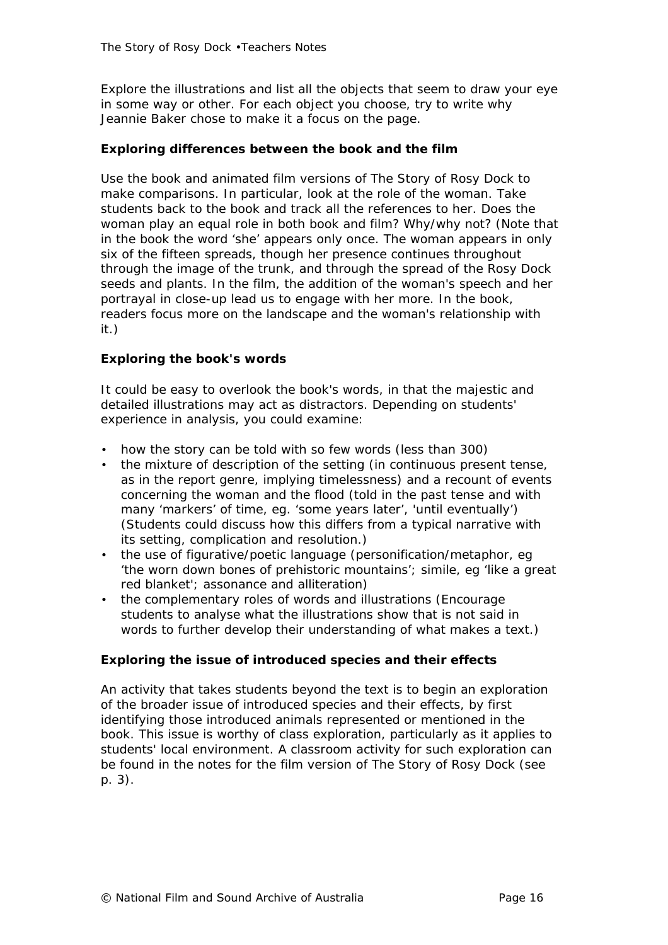Explore the illustrations and list all the objects that seem to draw your eye in some way or other. For each object you choose, try to write why Jeannie Baker chose to make it a focus on the page.

#### **Exploring differences between the book and the film**

Use the book and animated film versions of *The Story of Rosy Dock* to make comparisons. In particular, look at the role of the woman. Take students back to the book and track all the references to her. Does the woman play an equal role in both book and film? Why/why not? (Note that in the book the word 'she' appears only once. The woman appears in only six of the fifteen spreads, though her presence continues throughout through the image of the trunk, and through the spread of the Rosy Dock seeds and plants. In the film, the addition of the woman's speech and her portrayal in close-up lead us to engage with her more. In the book, readers focus more on the landscape and the woman's relationship with it.)

#### **Exploring the book's words**

It could be easy to overlook the book's words, in that the majestic and detailed illustrations may act as distractors. Depending on students' experience in analysis, you could examine:

- how the story can be told with so few words (less than 300)
- the mixture of description of the setting (in continuous present tense, as in the report genre, implying timelessness) and a recount of events concerning the woman and the flood (told in the past tense and with many 'markers' of time, eg. 'some years later', 'until eventually') (Students could discuss how this differs from a typical narrative with its setting, complication and resolution.)
- the use of figurative/poetic language (personification/metaphor, eg 'the worn down bones of prehistoric mountains'; simile, eg 'like a great red blanket'; assonance and alliteration)
- the complementary roles of words and illustrations (Encourage students to analyse what the illustrations show that is not said in words to further develop their understanding of what makes a text.)

#### **Exploring the issue of introduced species and their effects**

An activity that takes students beyond the text is to begin an exploration of the broader issue of introduced species and their effects, by first identifying those introduced animals represented or mentioned in the book. This issue is worthy of class exploration, particularly as it applies to students' local environment. A classroom activity for such exploration can be found in the notes for the film version of *The Story of Rosy Dock* (see p. 3).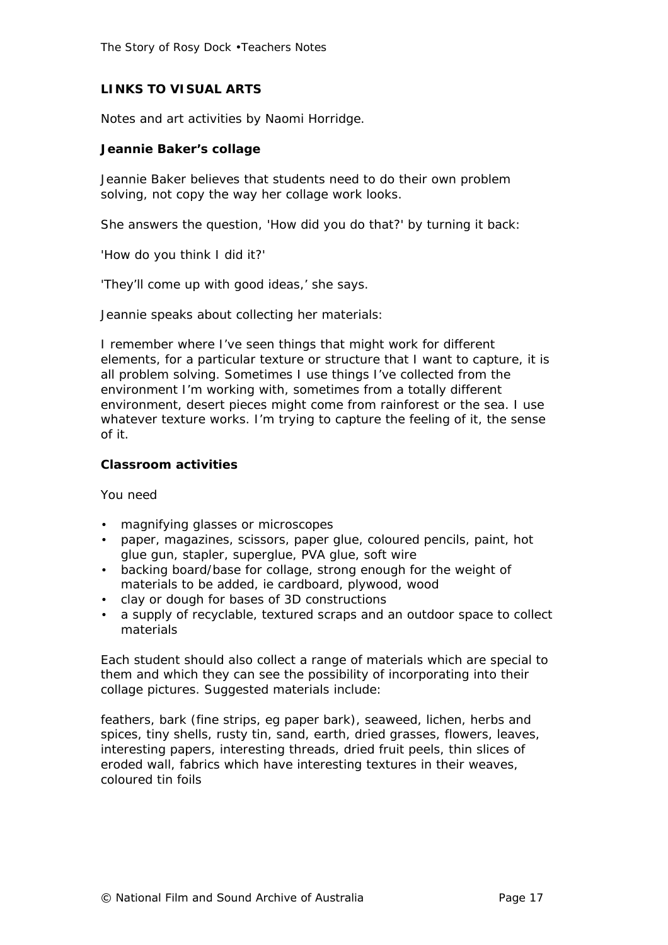# **LINKS TO VISUAL ARTS**

Notes and art activities by Naomi Horridge.

#### **Jeannie Baker's collage**

Jeannie Baker believes that students need to do their own problem solving, not copy the way her collage work looks.

She answers the question, 'How did you do that?' by turning it back:

'How do you think I did it?'

'They'll come up with good ideas,' she says.

Jeannie speaks about collecting her materials:

*I remember where I've seen things that might work for different elements, for a particular texture or structure that I want to capture, it is all problem solving. Sometimes I use things I've collected from the environment I'm working with, sometimes from a totally different environment, desert pieces might come from rainforest or the sea. I use whatever texture works. I'm trying to capture the feeling of it, the sense of it.*

#### **Classroom activities**

*You need*

- magnifying glasses or microscopes
- paper, magazines, scissors, paper glue, coloured pencils, paint, hot glue gun, stapler, superglue, PVA glue, soft wire
- backing board/base for collage, strong enough for the weight of materials to be added, ie cardboard, plywood, wood
- clay or dough for bases of 3D constructions
- a supply of recyclable, textured scraps and an outdoor space to collect materials

Each student should also collect a range of materials which are special to them and which they can see the possibility of incorporating into their collage pictures. Suggested materials include:

feathers, bark (fine strips, eg paper bark), seaweed, lichen, herbs and spices, tiny shells, rusty tin, sand, earth, dried grasses, flowers, leaves, interesting papers, interesting threads, dried fruit peels, thin slices of eroded wall, fabrics which have interesting textures in their weaves, coloured tin foils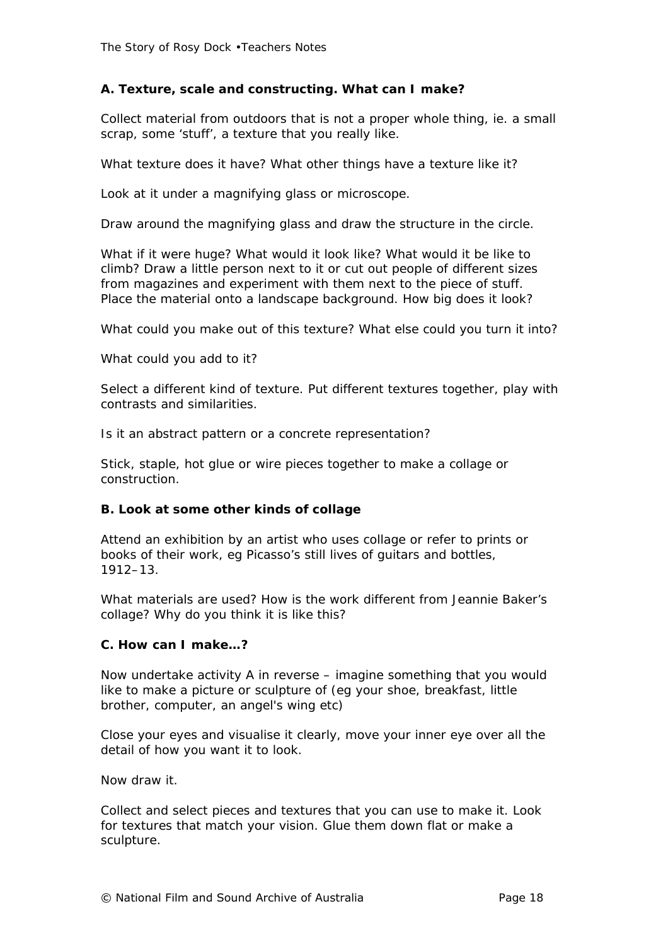# **A. Texture, scale and constructing. What can I make?**

Collect material from outdoors that is not a proper whole thing, ie. a small scrap, some 'stuff', a texture that you really like.

What texture does it have? What other things have a texture like it?

Look at it under a magnifying glass or microscope.

Draw around the magnifying glass and draw the structure in the circle.

What if it were huge? What would it look like? What would it be like to climb? Draw a little person next to it or cut out people of different sizes from magazines and experiment with them next to the piece of stuff. Place the material onto a landscape background. How big does it look?

What could you make out of this texture? What else could you turn it into?

What could you add to it?

Select a different kind of texture. Put different textures together, play with contrasts and similarities.

Is it an abstract pattern or a concrete representation?

Stick, staple, hot glue or wire pieces together to make a collage or construction.

#### **B. Look at some other kinds of collage**

Attend an exhibition by an artist who uses collage or refer to prints or books of their work, eg Picasso's still lives of guitars and bottles, 1912–13.

What materials are used? How is the work different from Jeannie Baker's collage? Why do you think it is like this?

#### **C. How can I make…?**

Now undertake activity A in reverse – imagine something that you would like to make a picture or sculpture of (eg your shoe, breakfast, little brother, computer, an angel's wing etc)

Close your eyes and visualise it clearly, move your inner eye over all the detail of how you want it to look.

Now draw it.

Collect and select pieces and textures that you can use to make it. Look for textures that match your vision. Glue them down flat or make a sculpture.